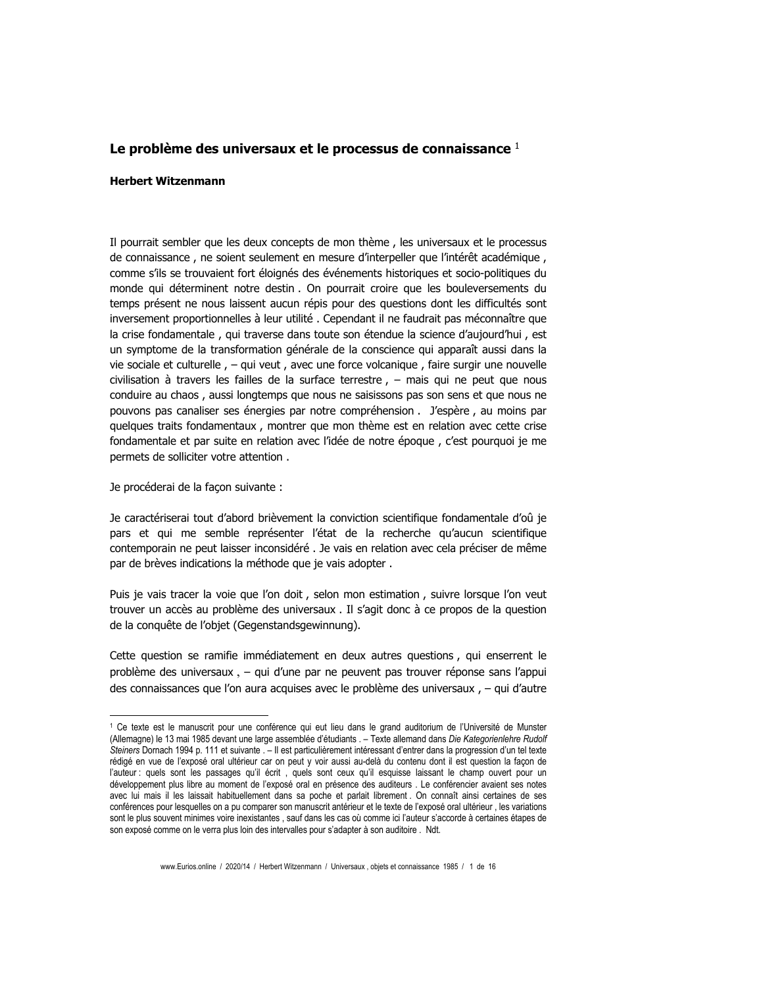## Le problème des universaux et le processus de connaissance  $1$

## **Herbert Witzenmann**

Il pourrait sembler que les deux concepts de mon thème, les universaux et le processus de connaissance, ne soient seulement en mesure d'interpeller que l'intérêt académique, comme s'ils se trouvaient fort éloignés des événements historiques et socio-politiques du monde qui déterminent notre destin . On pourrait croire que les bouleversements du temps présent ne nous laissent aucun répis pour des questions dont les difficultés sont inversement proportionnelles à leur utilité. Cependant il ne faudrait pas méconnaître que la crise fondamentale, qui traverse dans toute son étendue la science d'aujourd'hui, est un symptome de la transformation générale de la conscience qui apparaît aussi dans la vie sociale et culturelle, - qui veut, avec une force volcanique, faire surgir une nouvelle civilisation à travers les failles de la surface terrestre,  $-$  mais qui ne peut que nous conduire au chaos, aussi longtemps que nous ne saisissons pas son sens et que nous ne pouvons pas canaliser ses énergies par notre compréhension . J'espère, au moins par quelques traits fondamentaux, montrer que mon thème est en relation avec cette crise fondamentale et par suite en relation avec l'idée de notre époque, c'est pourquoi je me permets de solliciter votre attention.

Je procéderai de la façon suivante :

Je caractériserai tout d'abord brièvement la conviction scientifique fondamentale d'oû je pars et qui me semble représenter l'état de la recherche qu'aucun scientifique contemporain ne peut laisser inconsidéré. Je vais en relation avec cela préciser de même par de brèves indications la méthode que je vais adopter.

Puis je vais tracer la voie que l'on doit, selon mon estimation, suivre lorsque l'on veut trouver un accès au problème des universaux . Il s'agit donc à ce propos de la question de la conquête de l'objet (Gegenstandsgewinnung).

Cette question se ramifie immédiatement en deux autres questions, qui enserrent le problème des universaux, - qui d'une par ne peuvent pas trouver réponse sans l'appui des connaissances que l'on aura acquises avec le problème des universaux, - qui d'autre

<sup>&</sup>lt;sup>1</sup> Ce texte est le manuscrit pour une conférence qui eut lieu dans le grand auditorium de l'Université de Munster (Allemagne) le 13 mai 1985 devant une large assemblée d'étudiants . - Texte allemand dans Die Kategorienlehre Rudolf Steiners Dornach 1994 p. 111 et suivante . - Il est particulièrement intéressant d'entrer dans la progression d'un tel texte rédigé en vue de l'exposé oral ultérieur car on peut y voir aussi au-delà du contenu dont il est question la façon de l'auteur : quels sont les passages qu'il écrit, quels sont ceux qu'il esquisse laissant le champ ouvert pour un développement plus libre au moment de l'exposé oral en présence des auditeurs . Le conférencier avaient ses notes avec lui mais il les laissait habituellement dans sa poche et parlait librement. On connaît ainsi certaines de ses conférences pour lesquelles on a pu comparer son manuscrit antérieur et le texte de l'exposé oral ultérieur les variations sont le plus souvent minimes voire inexistantes, sauf dans les cas où comme ici l'auteur s'accorde à certaines étapes de son exposé comme on le verra plus loin des intervalles pour s'adapter à son auditoire. Ndt.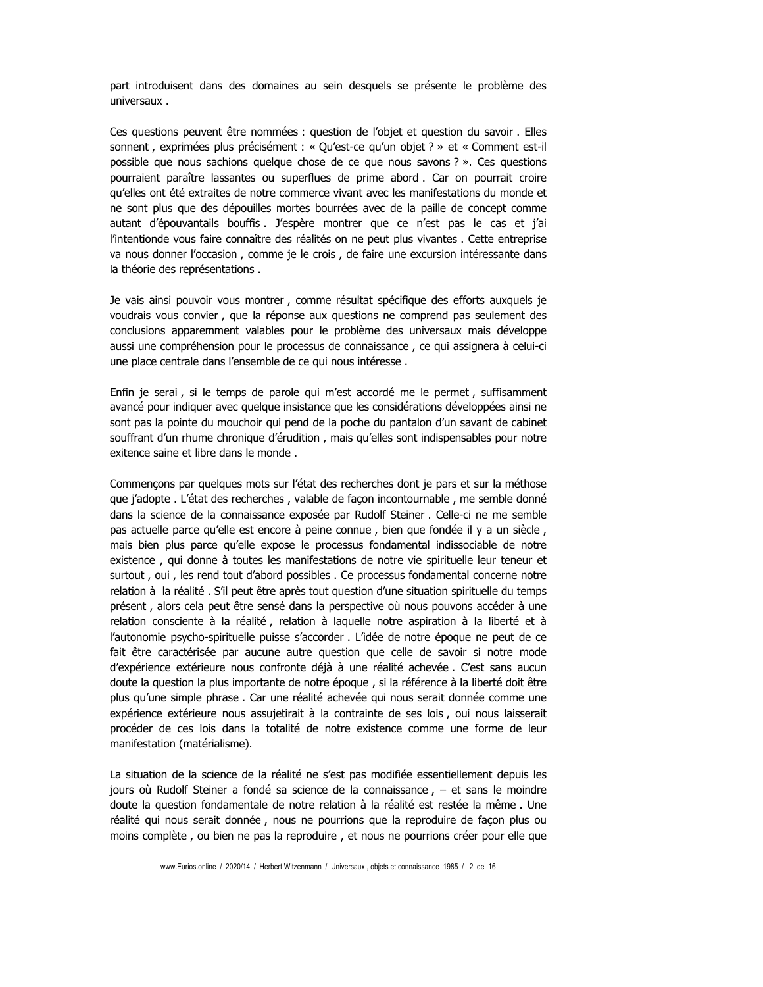part introduisent dans des domaines au sein desquels se présente le problème des universaux.

Ces questions peuvent être nommées : question de l'objet et question du savoir. Elles sonnent, exprimées plus précisément : « Qu'est-ce qu'un objet ? » et « Comment est-il possible que nous sachions quelque chose de ce que nous savons ? ». Ces questions pourraient paraître lassantes ou superflues de prime abord. Car on pourrait croire qu'elles ont été extraites de notre commerce vivant avec les manifestations du monde et ne sont plus que des dépouilles mortes bourrées avec de la paille de concept comme autant d'épouvantails bouffis. J'espère montrer que ce n'est pas le cas et j'ai l'intentionde vous faire connaître des réalités on ne peut plus vivantes. Cette entreprise va nous donner l'occasion, comme je le crois, de faire une excursion intéressante dans la théorie des représentations.

Je vais ainsi pouvoir vous montrer, comme résultat spécifique des efforts auxquels je voudrais vous convier, que la réponse aux questions ne comprend pas seulement des conclusions apparemment valables pour le problème des universaux mais développe aussi une compréhension pour le processus de connaissance, ce qui assignera à celui-ci une place centrale dans l'ensemble de ce qui nous intéresse.

Enfin je serai, si le temps de parole qui m'est accordé me le permet, suffisamment avancé pour indiquer avec quelque insistance que les considérations développées ainsi ne sont pas la pointe du mouchoir qui pend de la poche du pantalon d'un savant de cabinet souffrant d'un rhume chronique d'érudition, mais qu'elles sont indispensables pour notre exitence saine et libre dans le monde.

Commençons par quelques mots sur l'état des recherches dont je pars et sur la méthose que j'adopte. L'état des recherches, valable de façon incontournable, me semble donné dans la science de la connaissance exposée par Rudolf Steiner . Celle-ci ne me semble pas actuelle parce qu'elle est encore à peine connue, bien que fondée il y a un siècle, mais bien plus parce qu'elle expose le processus fondamental indissociable de notre existence, qui donne à toutes les manifestations de notre vie spirituelle leur teneur et surtout, oui, les rend tout d'abord possibles. Ce processus fondamental concerne notre relation à la réalité. S'il peut être après tout question d'une situation spirituelle du temps présent, alors cela peut être sensé dans la perspective où nous pouvons accéder à une relation consciente à la réalité, relation à laquelle notre aspiration à la liberté et à l'autonomie psycho-spirituelle puisse s'accorder. L'idée de notre époque ne peut de ce fait être caractérisée par aucune autre question que celle de savoir si notre mode d'expérience extérieure nous confronte déjà à une réalité achevée. C'est sans aucun doute la question la plus importante de notre époque, si la référence à la liberté doit être plus qu'une simple phrase. Car une réalité achevée qui nous serait donnée comme une expérience extérieure nous assujetirait à la contrainte de ses lois, oui nous laisserait procéder de ces lois dans la totalité de notre existence comme une forme de leur manifestation (matérialisme).

La situation de la science de la réalité ne s'est pas modifiée essentiellement depuis les jours où Rudolf Steiner a fondé sa science de la connaissance, - et sans le moindre doute la question fondamentale de notre relation à la réalité est restée la même. Une réalité qui nous serait donnée, nous ne pourrions que la reproduire de façon plus ou moins complète, ou bien ne pas la reproduire, et nous ne pourrions créer pour elle que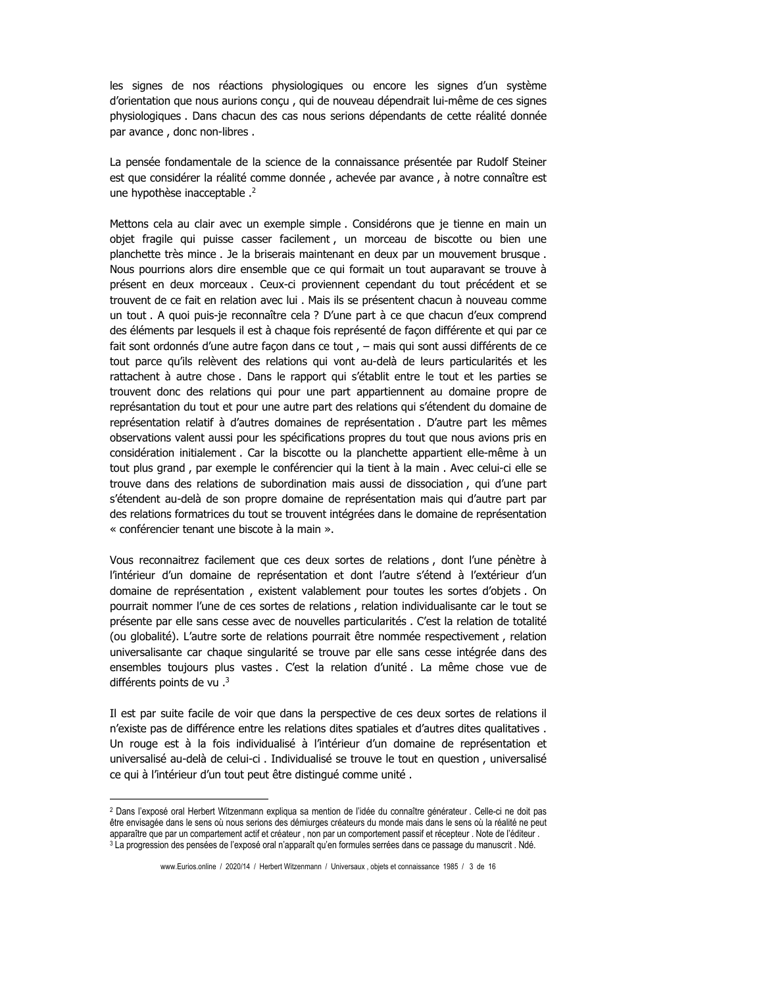les signes de nos réactions physiologiques ou encore les signes d'un système d'orientation que nous aurions conçu, qui de nouveau dépendrait lui-même de ces signes physiologiques. Dans chacun des cas nous serions dépendants de cette réalité donnée par avance, donc non-libres.

La pensée fondamentale de la science de la connaissance présentée par Rudolf Steiner est que considérer la réalité comme donnée, achevée par avance, à notre connaître est une hypothèse inacceptable .<sup>2</sup>

Mettons cela au clair avec un exemple simple. Considérons que je tienne en main un objet fragile qui puisse casser facilement, un morceau de biscotte ou bien une planchette très mince. Je la briserais maintenant en deux par un mouvement brusque. Nous pourrions alors dire ensemble que ce qui formait un tout auparavant se trouve à présent en deux morceaux. Ceux-ci proviennent cependant du tout précédent et se trouvent de ce fait en relation avec lui . Mais ils se présentent chacun à nouveau comme un tout. A quoi puis-je reconnaître cela ? D'une part à ce que chacun d'eux comprend des éléments par lesquels il est à chaque fois représenté de façon différente et qui par ce fait sont ordonnés d'une autre façon dans ce tout, - mais qui sont aussi différents de ce tout parce qu'ils relèvent des relations qui vont au-delà de leurs particularités et les rattachent à autre chose. Dans le rapport qui s'établit entre le tout et les parties se trouvent donc des relations qui pour une part appartiennent au domaine propre de représantation du tout et pour une autre part des relations qui s'étendent du domaine de représentation relatif à d'autres domaines de représentation. D'autre part les mêmes observations valent aussi pour les spécifications propres du tout que nous avions pris en considération initialement . Car la biscotte ou la planchette appartient elle-même à un tout plus grand, par exemple le conférencier qui la tient à la main. Avec celui-ci elle se trouve dans des relations de subordination mais aussi de dissociation, qui d'une part s'étendent au-delà de son propre domaine de représentation mais qui d'autre part par des relations formatrices du tout se trouvent intégrées dans le domaine de représentation « conférencier tenant une biscote à la main ».

Vous reconnaitrez facilement que ces deux sortes de relations, dont l'une pénètre à l'intérieur d'un domaine de représentation et dont l'autre s'étend à l'extérieur d'un domaine de représentation, existent valablement pour toutes les sortes d'objets. On pourrait nommer l'une de ces sortes de relations, relation individualisante car le tout se présente par elle sans cesse avec de nouvelles particularités. C'est la relation de totalité (ou globalité). L'autre sorte de relations pourrait être nommée respectivement, relation universalisante car chaque singularité se trouve par elle sans cesse intégrée dans des ensembles toujours plus vastes. C'est la relation d'unité. La même chose vue de différents points de vu .<sup>3</sup>

Il est par suite facile de voir que dans la perspective de ces deux sortes de relations il n'existe pas de différence entre les relations dites spatiales et d'autres dites qualitatives. Un rouge est à la fois individualisé à l'intérieur d'un domaine de représentation et universalisé au-delà de celui-ci. Individualisé se trouve le tout en question, universalisé ce qui à l'intérieur d'un tout peut être distingué comme unité.

<sup>&</sup>lt;sup>2</sup> Dans l'exposé oral Herbert Witzenmann expliqua sa mention de l'idée du connaître générateur . Celle-ci ne doit pas être envisagée dans le sens où nous serions des démiurges créateurs du monde mais dans le sens où la réalité ne peut apparaître que par un compartement actif et créateur, non par un comportement passif et récepteur. Note de l'éditeur. 3 La progression des pensées de l'exposé oral n'apparaît qu'en formules serrées dans ce passage du manuscrit. Ndé.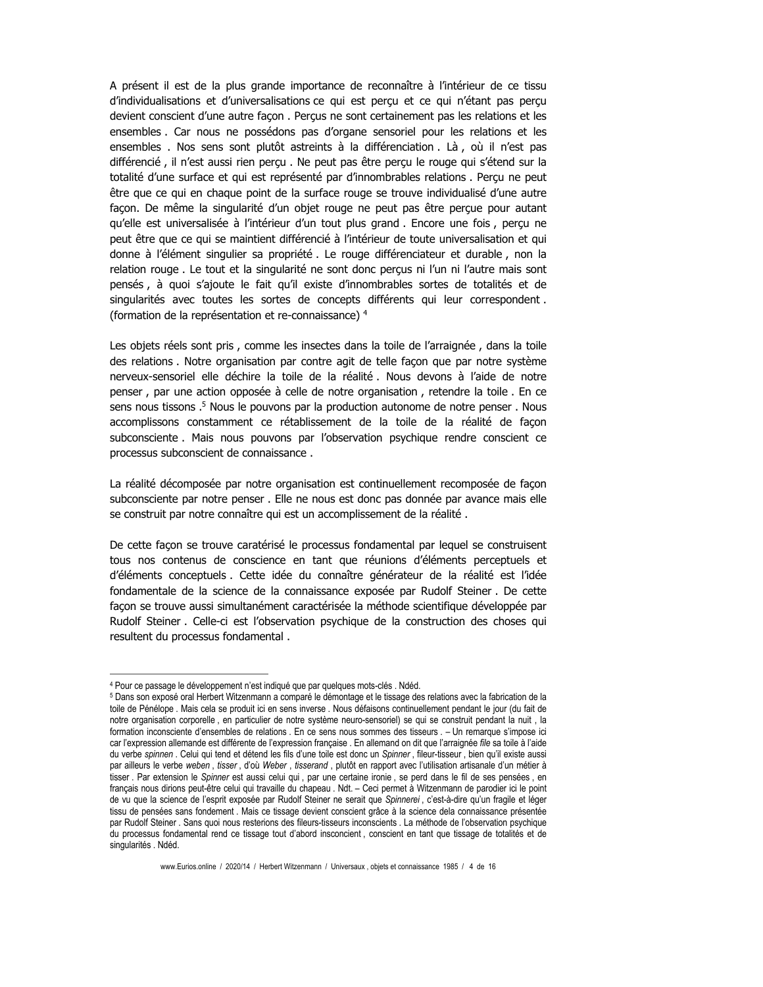A présent il est de la plus grande importance de reconnaître à l'intérieur de ce tissu d'individualisations et d'universalisations ce qui est percu et ce qui n'étant pas percu devient conscient d'une autre façon . Perçus ne sont certainement pas les relations et les ensembles. Car nous ne possédons pas d'organe sensoriel pour les relations et les ensembles. Nos sens sont plutôt astreints à la différenciation. Là, où il n'est pas différencié, il n'est aussi rien perçu. Ne peut pas être perçu le rouge qui s'étend sur la totalité d'une surface et qui est représenté par d'innombrables relations. Perçu ne peut être que ce qui en chaque point de la surface rouge se trouve individualisé d'une autre façon. De même la singularité d'un objet rouge ne peut pas être perçue pour autant qu'elle est universalisée à l'intérieur d'un tout plus grand. Encore une fois, percu ne peut être que ce qui se maintient différencié à l'intérieur de toute universalisation et qui donne à l'élément singulier sa propriété. Le rouge différenciateur et durable, non la relation rouge. Le tout et la singularité ne sont donc percus ni l'un ni l'autre mais sont pensés, à quoi s'ajoute le fait qu'il existe d'innombrables sortes de totalités et de singularités avec toutes les sortes de concepts différents qui leur correspondent. (formation de la représentation et re-connaissance) 4

Les objets réels sont pris, comme les insectes dans la toile de l'arraignée, dans la toile des relations. Notre organisation par contre agit de telle façon que par notre système nerveux-sensoriel elle déchire la toile de la réalité. Nous devons à l'aide de notre penser, par une action opposée à celle de notre organisation, retendre la toile. En ce sens nous tissons .<sup>5</sup> Nous le pouvons par la production autonome de notre penser . Nous accomplissons constamment ce rétablissement de la toile de la réalité de façon subconsciente. Mais nous pouvons par l'observation psychique rendre conscient ce processus subconscient de connaissance.

La réalité décomposée par notre organisation est continuellement recomposée de façon subconsciente par notre penser. Elle ne nous est donc pas donnée par avance mais elle se construit par notre connaître qui est un accomplissement de la réalité.

De cette facon se trouve caratérisé le processus fondamental par lequel se construisent tous nos contenus de conscience en tant que réunions d'éléments perceptuels et d'éléments conceptuels. Cette idée du connaître générateur de la réalité est l'idée fondamentale de la science de la connaissance exposée par Rudolf Steiner. De cette façon se trouve aussi simultanément caractérisée la méthode scientifique développée par Rudolf Steiner. Celle-ci est l'observation psychique de la construction des choses qui resultent du processus fondamental.

<sup>4</sup> Pour ce passage le développement n'est indiqué que par quelques mots-clés. Ndéd.

<sup>&</sup>lt;sup>5</sup> Dans son exposé oral Herbert Witzenmann a comparé le démontage et le tissage des relations avec la fabrication de la toile de Pénélope. Mais cela se produit ici en sens inverse. Nous défaisons continuellement pendant le jour (du fait de notre organisation corporelle, en particulier de notre système neuro-sensoriel) se qui se construit pendant la nuit, la formation inconsciente d'ensembles de relations. En ce sens nous sommes des tisseurs. – Un remarque s'impose ici car l'expression allemande est différente de l'expression française . En allemand on dit que l'arraignée file sa toile à l'aide du verbe spinnen . Celui qui tend et détend les fils d'une toile est donc un Spinner, fileur-tisseur, bien qu'il existe aussi par ailleurs le verbe weben, tisser, d'où Weber, tisserand, plutôt en rapport avec l'utilisation artisanale d'un métier à tisser. Par extension le Spinner est aussi celui qui, par une certaine ironie, se perd dans le fil de ses pensées, en français nous dirions peut-être celui qui travaille du chapeau . Ndt. - Ceci permet à Witzenmann de parodier ici le point de vu que la science de l'esprit exposée par Rudolf Steiner ne serait que Spinnerei, c'est-à-dire qu'un fraqile et léger tissu de pensées sans fondement. Mais ce tissage devient conscient grâce à la science dela connaissance présentée par Rudolf Steiner . Sans quoi nous resterions des fileurs-tisseurs inconscients . La méthode de l'observation psychique du processus fondamental rend ce tissage tout d'abord insconcient, conscient en tant que tissage de totalités et de singularités . Ndéd.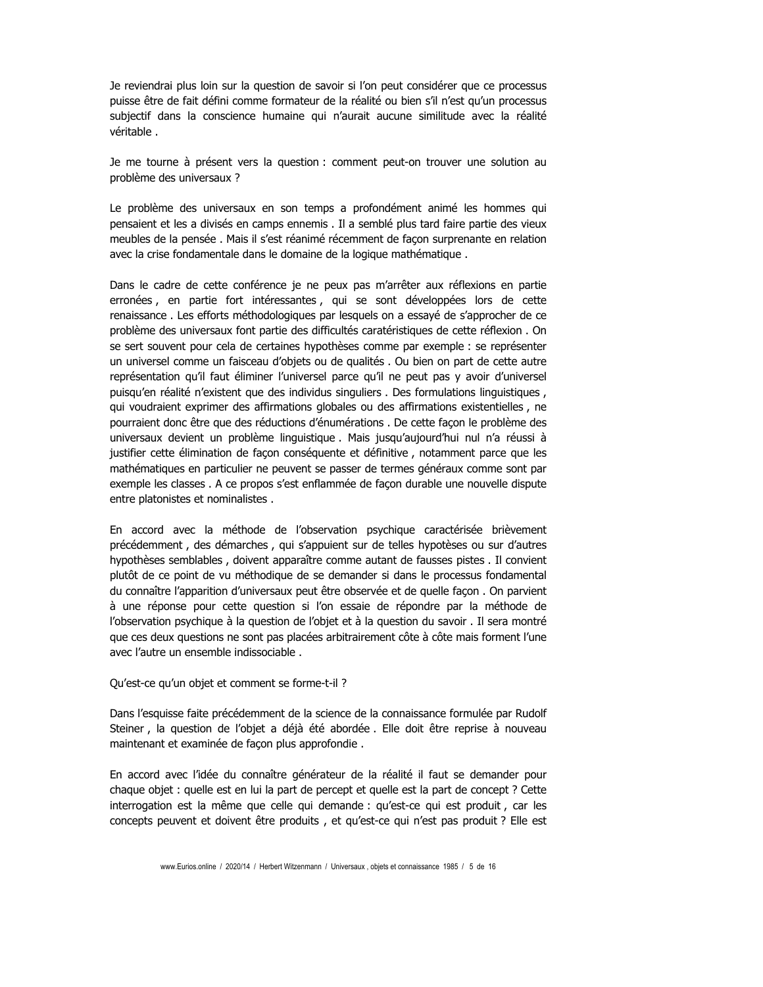Je reviendrai plus loin sur la question de savoir si l'on peut considérer que ce processus puisse être de fait défini comme formateur de la réalité ou bien s'il n'est qu'un processus subjectif dans la conscience humaine qui n'aurait aucune similitude avec la réalité véritable.

Je me tourne à présent vers la question : comment peut-on trouver une solution au problème des universaux ?

Le problème des universaux en son temps a profondément animé les hommes qui pensaient et les a divisés en camps ennemis . Il a semblé plus tard faire partie des vieux meubles de la pensée. Mais il s'est réanimé récemment de façon surprenante en relation avec la crise fondamentale dans le domaine de la logique mathématique.

Dans le cadre de cette conférence je ne peux pas m'arrêter aux réflexions en partie erronées, en partie fort intéressantes, qui se sont développées lors de cette renaissance. Les efforts méthodologiques par lesquels on a essayé de s'approcher de ce problème des universaux font partie des difficultés caratéristiques de cette réflexion . On se sert souvent pour cela de certaines hypothèses comme par exemple : se représenter un universel comme un faisceau d'objets ou de qualités . Ou bien on part de cette autre représentation qu'il faut éliminer l'universel parce qu'il ne peut pas y avoir d'universel puisqu'en réalité n'existent que des individus singuliers . Des formulations linguistiques, qui voudraient exprimer des affirmations globales ou des affirmations existentielles, ne pourraient donc être que des réductions d'énumérations . De cette façon le problème des universaux devient un problème linguistique. Mais jusqu'aujourd'hui nul n'a réussi à justifier cette élimination de façon conséquente et définitive, notamment parce que les mathématiques en particulier ne peuvent se passer de termes généraux comme sont par exemple les classes. A ce propos s'est enflammée de façon durable une nouvelle dispute entre platonistes et nominalistes.

En accord avec la méthode de l'observation psychique caractérisée brièvement précédemment, des démarches, qui s'appuient sur de telles hypotèses ou sur d'autres hypothèses semblables, doivent apparaître comme autant de fausses pistes . Il convient plutôt de ce point de vu méthodique de se demander si dans le processus fondamental du connaître l'apparition d'universaux peut être observée et de quelle façon. On parvient à une réponse pour cette question si l'on essaie de répondre par la méthode de l'observation psychique à la question de l'objet et à la question du savoir. Il sera montré que ces deux questions ne sont pas placées arbitrairement côte à côte mais forment l'une avec l'autre un ensemble indissociable.

Qu'est-ce qu'un objet et comment se forme-t-il ?

Dans l'esquisse faite précédemment de la science de la connaissance formulée par Rudolf Steiner, la question de l'objet a déjà été abordée. Elle doit être reprise à nouveau maintenant et examinée de façon plus approfondie.

En accord avec l'idée du connaître générateur de la réalité il faut se demander pour chaque objet : quelle est en lui la part de percept et quelle est la part de concept ? Cette interrogation est la même que celle qui demande : qu'est-ce qui est produit, car les concepts peuvent et doivent être produits, et qu'est-ce qui n'est pas produit ? Elle est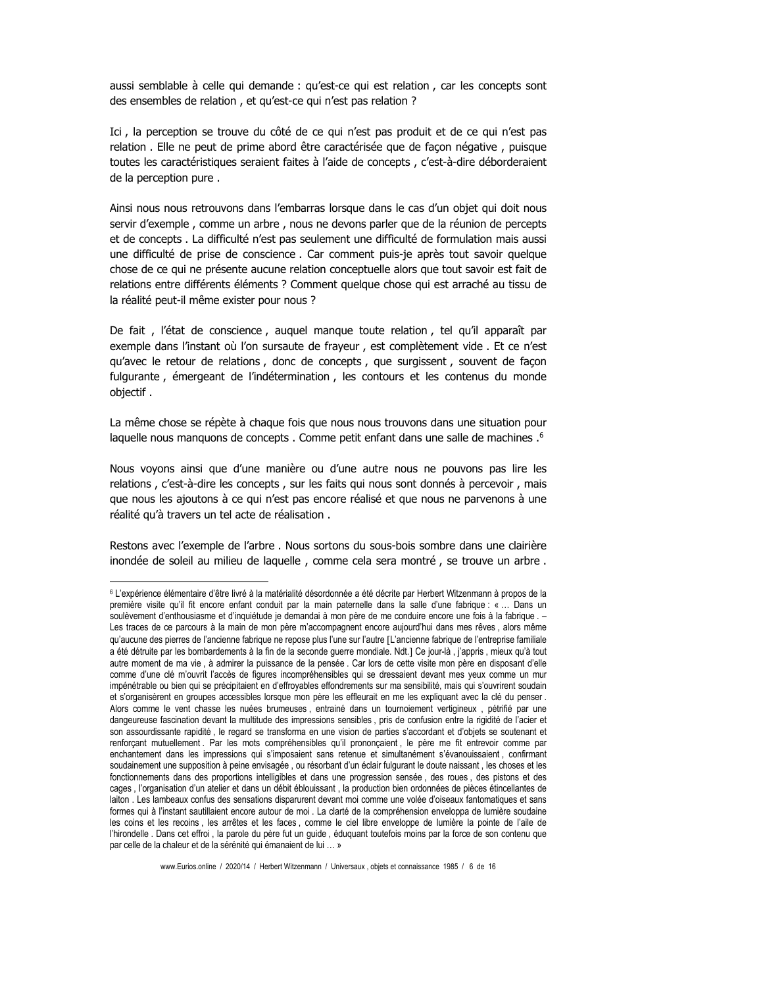aussi semblable à celle qui demande : qu'est-ce qui est relation, car les concepts sont des ensembles de relation, et qu'est-ce qui n'est pas relation ?

Ici, la perception se trouve du côté de ce qui n'est pas produit et de ce qui n'est pas relation. Elle ne peut de prime abord être caractérisée que de façon négative, puisque toutes les caractéristiques seraient faites à l'aide de concepts, c'est-à-dire déborderaient de la perception pure.

Ainsi nous nous retrouvons dans l'embarras lorsque dans le cas d'un objet qui doit nous servir d'exemple, comme un arbre, nous ne devons parler que de la réunion de percepts et de concepts . La difficulté n'est pas seulement une difficulté de formulation mais aussi une difficulté de prise de conscience . Car comment puis-je après tout savoir quelque chose de ce qui ne présente aucune relation conceptuelle alors que tout savoir est fait de relations entre différents éléments ? Comment quelque chose qui est arraché au tissu de la réalité peut-il même exister pour nous ?

De fait, l'état de conscience, auquel manque toute relation, tel qu'il apparaît par exemple dans l'instant où l'on sursaute de frayeur, est complètement vide. Et ce n'est qu'avec le retour de relations, donc de concepts, que surgissent, souvent de façon fulgurante, émergeant de l'indétermination, les contours et les contenus du monde objectif.

La même chose se répète à chaque fois que nous nous trouvons dans une situation pour laquelle nous manquons de concepts. Comme petit enfant dans une salle de machines .<sup>6</sup>

Nous voyons ainsi que d'une manière ou d'une autre nous ne pouvons pas lire les relations, c'est-à-dire les concepts, sur les faits qui nous sont donnés à percevoir, mais que nous les ajoutons à ce qui n'est pas encore réalisé et que nous ne parvenons à une réalité qu'à travers un tel acte de réalisation.

Restons avec l'exemple de l'arbre. Nous sortons du sous-bois sombre dans une clairière inondée de soleil au milieu de laquelle, comme cela sera montré, se trouve un arbre.

<sup>&</sup>lt;sup>6</sup> L'expérience élémentaire d'être livré à la matérialité désordonnée a été décrite par Herbert Witzenmann à propos de la première visite qu'il fit encore enfant conduit par la main paternelle dans la salle d'une fabrique : « ... Dans un soulèvement d'enthousiasme et d'inquiétude je demandai à mon père de me conduire encore une fois à la fabrique. -Les traces de ce parcours à la main de mon père m'accompagnent encore aujourd'hui dans mes rêves, alors même qu'aucune des pierres de l'ancienne fabrique ne repose plus l'une sur l'autre [L'ancienne fabrique de l'entreprise familiale a été détruite par les bombardements à la fin de la seconde guerre mondiale. Ndt.] Ce jour-là, j'appris, mieux qu'à tout autre moment de ma vie, à admirer la puissance de la pensée. Car lors de cette visite mon père en disposant d'elle comme d'une clé m'ouvrit l'accès de figures incompréhensibles qui se dressaient devant mes yeux comme un mur impénétrable ou bien qui se précipitaient en d'effroyables effondrements sur ma sensibilité, mais qui s'ouvrirent soudain et s'organisèrent en groupes accessibles lorsque mon père les effleurait en me les expliquant avec la clé du penser. Alors comme le vent chasse les nuées brumeuses, entrainé dans un tournoiement vertigineux, pétrifié par une dangeureuse fascination devant la multitude des impressions sensibles, pris de confusion entre la rigidité de l'acier et son assourdissante rapidité, le regard se transforma en une vision de parties s'accordant et d'obiets se soutenant et renforçant mutuellement. Par les mots compréhensibles qu'il prononçaient, le père me fit entrevoir comme par enchantement dans les impressions qui s'imposaient sans retenue et simultanément s'évanouissaient, confirmant soudainement une supposition à peine envisagée, ou résorbant d'un éclair fulgurant le doute naissant, les choses et les fonctionnements dans des proportions intelligibles et dans une progression sensée, des roues, des pistons et des cages, l'organisation d'un atelier et dans un débit éblouissant, la production bien ordonnées de pièces étincellantes de laiton. Les lambeaux confus des sensations disparurent devant moi comme une volée d'oiseaux fantomatiques et sans formes qui à l'instant sautillaient encore autour de moi . La clarté de la compréhension enveloppa de lumière soudaine les coins et les recoins, les arrêtes et les faces, comme le ciel libre enveloppe de lumière la pointe de l'aile de l'hirondelle. Dans cet effroi, la parole du père fut un guide, éduquant toutefois moins par la force de son contenu que par celle de la chaleur et de la sérénité qui émanaient de lui ... »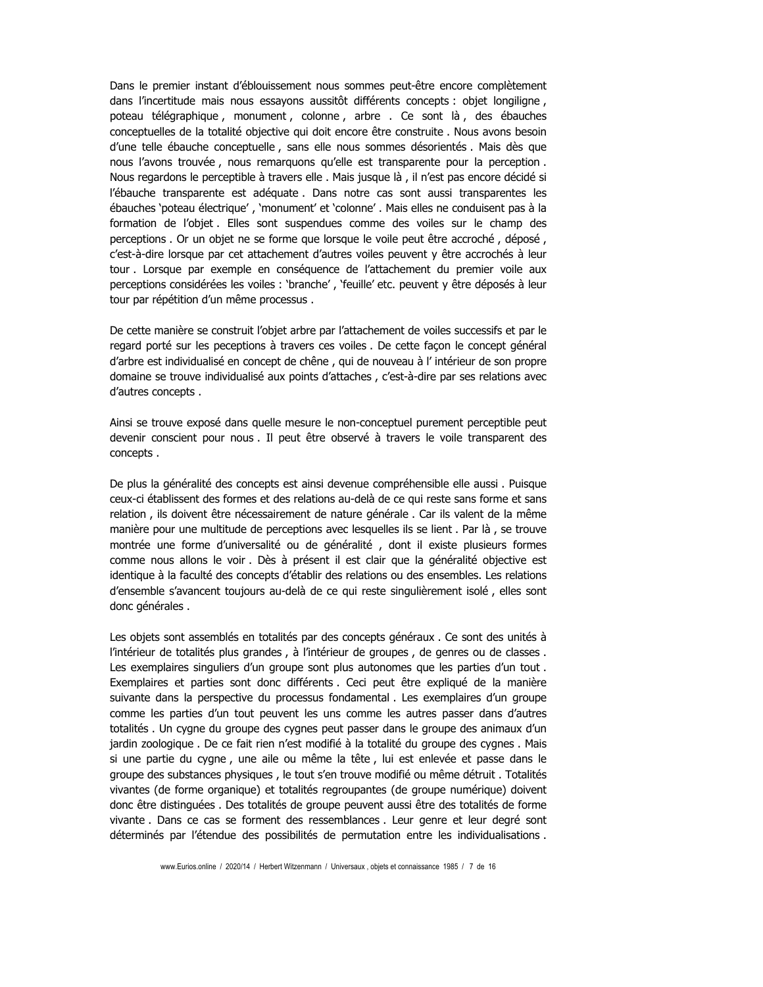Dans le premier instant d'éblouissement nous sommes peut-être encore complètement dans l'incertitude mais nous essayons aussitôt différents concepts : objet longiligne, poteau télégraphique, monument, colonne, arbre. Ce sont là, des ébauches conceptuelles de la totalité objective qui doit encore être construite . Nous avons besoin d'une telle ébauche conceptuelle, sans elle nous sommes désorientés. Mais dès que nous l'avons trouvée, nous remarquons qu'elle est transparente pour la perception. Nous regardons le perceptible à travers elle. Mais jusque là, il n'est pas encore décidé si l'ébauche transparente est adéquate. Dans notre cas sont aussi transparentes les ébauches 'poteau électrique', 'monument' et 'colonne'. Mais elles ne conduisent pas à la formation de l'objet. Elles sont suspendues comme des voiles sur le champ des perceptions . Or un objet ne se forme que lorsque le voile peut être accroché, déposé, c'est-à-dire lorsque par cet attachement d'autres voiles peuvent y être accrochés à leur tour . Lorsque par exemple en conséquence de l'attachement du premier voile aux perceptions considérées les voiles : 'branche', 'feuille' etc. peuvent y être déposés à leur tour par répétition d'un même processus.

De cette manière se construit l'objet arbre par l'attachement de voiles successifs et par le regard porté sur les peceptions à travers ces voiles. De cette facon le concept général d'arbre est individualisé en concept de chêne, qui de nouveau à l'intérieur de son propre domaine se trouve individualisé aux points d'attaches, c'est-à-dire par ses relations avec d'autres concepts.

Ainsi se trouve exposé dans quelle mesure le non-conceptuel purement perceptible peut devenir conscient pour nous. Il peut être observé à travers le voile transparent des concepts.

De plus la généralité des concepts est ainsi devenue compréhensible elle aussi. Puisque ceux-ci établissent des formes et des relations au-delà de ce qui reste sans forme et sans relation, ils doivent être nécessairement de nature générale. Car ils valent de la même manière pour une multitude de perceptions avec lesquelles ils se lient . Par là, se trouve montrée une forme d'universalité ou de généralité, dont il existe plusieurs formes comme nous allons le voir. Dès à présent il est clair que la généralité objective est identique à la faculté des concepts d'établir des relations ou des ensembles. Les relations d'ensemble s'avancent toujours au-delà de ce qui reste singulièrement isolé, elles sont donc générales.

Les objets sont assemblés en totalités par des concepts généraux. Ce sont des unités à l'intérieur de totalités plus grandes, à l'intérieur de groupes, de genres ou de classes. Les exemplaires singuliers d'un groupe sont plus autonomes que les parties d'un tout. Exemplaires et parties sont donc différents. Ceci peut être expliqué de la manière suivante dans la perspective du processus fondamental. Les exemplaires d'un groupe comme les parties d'un tout peuvent les uns comme les autres passer dans d'autres totalités. Un cygne du groupe des cygnes peut passer dans le groupe des animaux d'un jardin zoologique. De ce fait rien n'est modifié à la totalité du groupe des cygnes. Mais si une partie du cygne, une aile ou même la tête, lui est enlevée et passe dans le groupe des substances physiques, le tout s'en trouve modifié ou même détruit. Totalités vivantes (de forme organique) et totalités regroupantes (de groupe numérique) doivent donc être distinguées. Des totalités de groupe peuvent aussi être des totalités de forme vivante. Dans ce cas se forment des ressemblances. Leur genre et leur degré sont déterminés par l'étendue des possibilités de permutation entre les individualisations.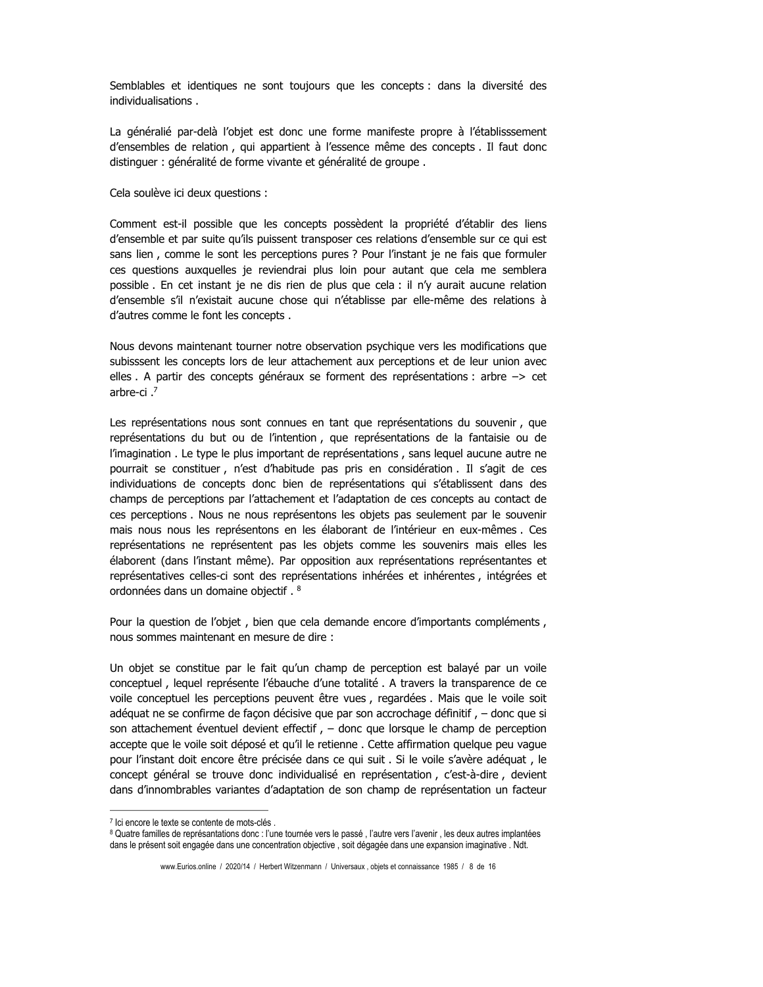Semblables et identiques ne sont toujours que les concepts : dans la diversité des individualisations

La généralié par-delà l'objet est donc une forme manifeste propre à l'établisssement d'ensembles de relation, qui appartient à l'essence même des concepts. Il faut donc distinguer : généralité de forme vivante et généralité de groupe.

Cela soulève ici deux questions :

Comment est-il possible que les concepts possèdent la propriété d'établir des liens d'ensemble et par suite qu'ils puissent transposer ces relations d'ensemble sur ce qui est sans lien, comme le sont les perceptions pures ? Pour l'instant je ne fais que formuler ces questions auxquelles je reviendrai plus loin pour autant que cela me semblera possible. En cet instant je ne dis rien de plus que cela : il n'y aurait aucune relation d'ensemble s'il n'existait aucune chose qui n'établisse par elle-même des relations à d'autres comme le font les concepts.

Nous devons maintenant tourner notre observation psychique vers les modifications que subisssent les concepts lors de leur attachement aux perceptions et de leur union avec elles. A partir des concepts généraux se forment des représentations : arbre -> cet arbre-ci $,7$ 

Les représentations nous sont connues en tant que représentations du souvenir, que représentations du but ou de l'intention, que représentations de la fantaisie ou de l'imagination. Le type le plus important de représentations, sans lequel aucune autre ne pourrait se constituer, n'est d'habitude pas pris en considération. Il s'agit de ces individuations de concepts donc bien de représentations qui s'établissent dans des champs de perceptions par l'attachement et l'adaptation de ces concepts au contact de ces perceptions. Nous ne nous représentons les objets pas seulement par le souvenir mais nous nous les représentons en les élaborant de l'intérieur en eux-mêmes. Ces représentations ne représentent pas les objets comme les souvenirs mais elles les élaborent (dans l'instant même). Par opposition aux représentations représentantes et représentatives celles-ci sont des représentations inhérées et inhérentes, intégrées et ordonnées dans un domaine objectif.<sup>8</sup>

Pour la question de l'objet, bien que cela demande encore d'importants compléments, nous sommes maintenant en mesure de dire :

Un objet se constitue par le fait qu'un champ de perception est balayé par un voile conceptuel, lequel représente l'ébauche d'une totalité. A travers la transparence de ce voile conceptuel les perceptions peuvent être vues, regardées. Mais que le voile soit adéquat ne se confirme de façon décisive que par son accrochage définitif, - donc que si son attachement éventuel devient effectif, - donc que lorsque le champ de perception accepte que le voile soit déposé et qu'il le retienne. Cette affirmation quelque peu vague pour l'instant doit encore être précisée dans ce qui suit . Si le voile s'avère adéquat, le concept général se trouve donc individualisé en représentation, c'est-à-dire, devient dans d'innombrables variantes d'adaptation de son champ de représentation un facteur

<sup>7</sup> Ici encore le texte se contente de mots-clés.

<sup>8</sup> Quatre familles de représantations donc : l'une tournée vers le passé, l'autre vers l'avenir, les deux autres implantées dans le présent soit engagée dans une concentration objective, soit dégagée dans une expansion imaginative. Ndt.

www.Eurios.online / 2020/14 / Herbert Witzenmann / Universaux, objets et connaissance 1985 / 8 de 16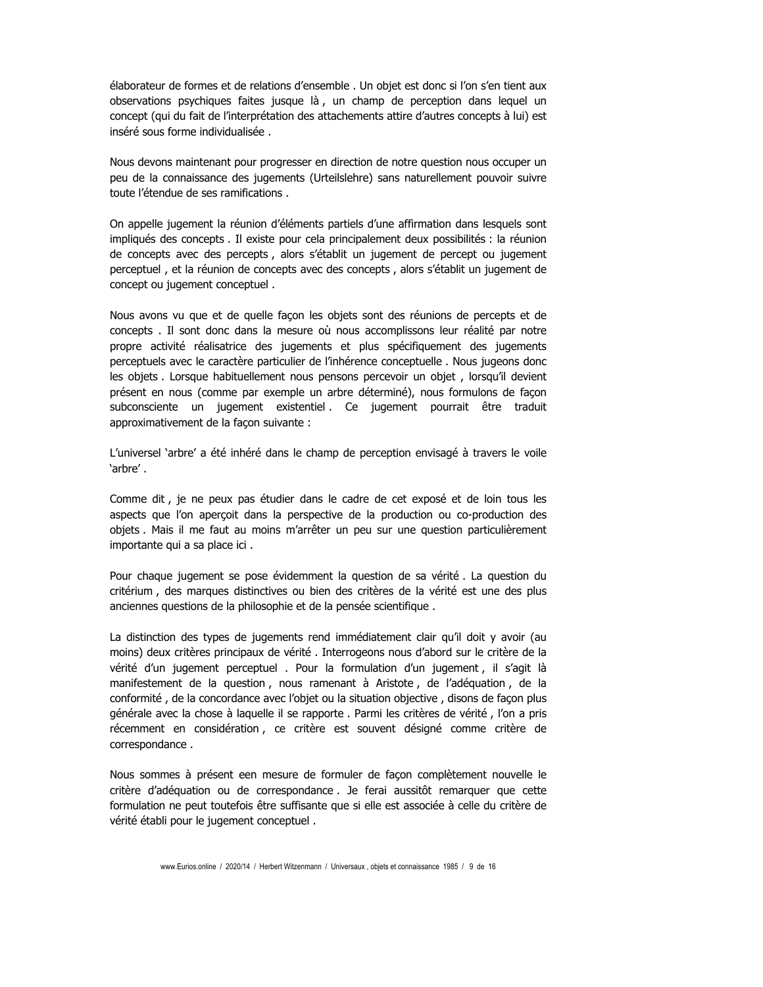élaborateur de formes et de relations d'ensemble, Un objet est donc si l'on s'en tient aux observations psychiques faites jusque là, un champ de perception dans lequel un concept (qui du fait de l'interprétation des attachements attire d'autres concepts à lui) est inséré sous forme individualisée.

Nous devons maintenant pour progresser en direction de notre question nous occuper un peu de la connaissance des jugements (Urteilslehre) sans naturellement pouvoir suivre toute l'étendue de ses ramifications.

On appelle jugement la réunion d'éléments partiels d'une affirmation dans lesquels sont impliqués des concepts . Il existe pour cela principalement deux possibilités : la réunion de concepts avec des percepts, alors s'établit un jugement de percept ou jugement perceptuel, et la réunion de concepts avec des concepts, alors s'établit un jugement de concept ou jugement conceptuel.

Nous avons vu que et de quelle façon les objets sont des réunions de percepts et de concepts . Il sont donc dans la mesure où nous accomplissons leur réalité par notre propre activité réalisatrice des jugements et plus spécifiquement des jugements perceptuels avec le caractère particulier de l'inhérence conceptuelle. Nous jugeons donc les objets. Lorsque habituellement nous pensons percevoir un objet, lorsqu'il devient présent en nous (comme par exemple un arbre déterminé), nous formulons de façon subconsciente un jugement existentiel. Ce jugement pourrait être traduit approximativement de la façon suivante :

L'universel 'arbre' a été inhéré dans le champ de perception envisagé à travers le voile 'arbre'.

Comme dit, je ne peux pas étudier dans le cadre de cet exposé et de loin tous les aspects que l'on aperçoit dans la perspective de la production ou co-production des objets. Mais il me faut au moins m'arrêter un peu sur une question particulièrement importante qui a sa place ici.

Pour chaque jugement se pose évidemment la question de sa vérité. La question du critérium, des marques distinctives ou bien des critères de la vérité est une des plus anciennes questions de la philosophie et de la pensée scientifique.

La distinction des types de jugements rend immédiatement clair qu'il doit y avoir (au moins) deux critères principaux de vérité. Interrogeons nous d'abord sur le critère de la vérité d'un jugement perceptuel, Pour la formulation d'un jugement, il s'agit là manifestement de la question, nous ramenant à Aristote, de l'adéquation, de la conformité, de la concordance avec l'objet ou la situation objective, disons de façon plus générale avec la chose à laquelle il se rapporte . Parmi les critères de vérité, l'on a pris récemment en considération, ce critère est souvent désigné comme critère de correspondance.

Nous sommes à présent een mesure de formuler de façon complètement nouvelle le critère d'adéquation ou de correspondance, Je ferai aussitôt remarquer que cette formulation ne peut toutefois être suffisante que si elle est associée à celle du critère de vérité établi pour le jugement conceptuel.

www.Eurios.online / 2020/14 / Herbert Witzenmann / Universaux . objets et connaissance 1985 / 9 de 16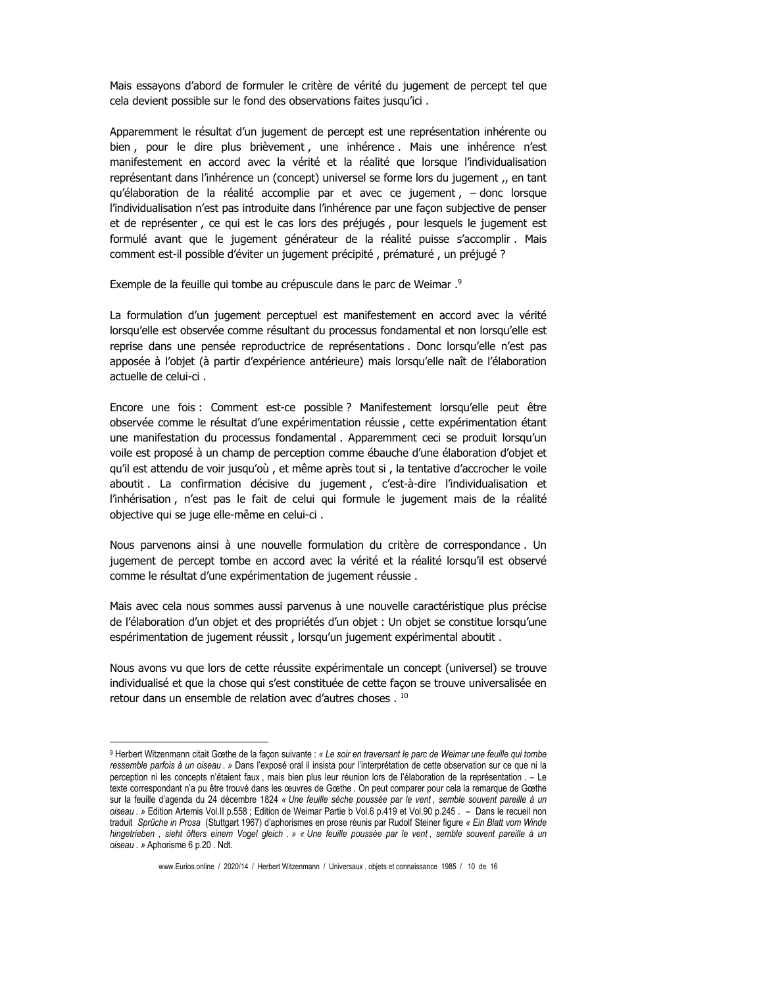Mais essavons d'abord de formuler le critère de vérité du jugement de percept tel que cela devient possible sur le fond des observations faites jusqu'ici.

Apparemment le résultat d'un jugement de percept est une représentation inhérente ou bien, pour le dire plus brièvement, une inhérence. Mais une inhérence n'est manifestement en accord avec la vérité et la réalité que lorsque l'individualisation représentant dans l'inhérence un (concept) universel se forme lors du jugement ,, en tant qu'élaboration de la réalité accomplie par et avec ce jugement, - donc lorsque l'individualisation n'est pas introduite dans l'inhérence par une facon subjective de penser et de représenter, ce qui est le cas lors des préjugés, pour lesquels le jugement est formulé avant que le jugement générateur de la réalité puisse s'accomplir. Mais comment est-il possible d'éviter un jugement précipité, prématuré, un préjugé ?

Exemple de la feuille qui tombe au crépuscule dans le parc de Weimar.<sup>9</sup>

La formulation d'un jugement perceptuel est manifestement en accord avec la vérité lorsqu'elle est observée comme résultant du processus fondamental et non lorsqu'elle est reprise dans une pensée reproductrice de représentations . Donc lorsqu'elle n'est pas apposée à l'objet (à partir d'expérience antérieure) mais lorsqu'elle naît de l'élaboration actuelle de celui-ci.

Encore une fois : Comment est-ce possible ? Manifestement lorsqu'elle peut être observée comme le résultat d'une expérimentation réussie, cette expérimentation étant une manifestation du processus fondamental. Apparemment ceci se produit lorsqu'un voile est proposé à un champ de perception comme ébauche d'une élaboration d'objet et qu'il est attendu de voir jusqu'où, et même après tout si, la tentative d'accrocher le voile aboutit. La confirmation décisive du jugement, c'est-à-dire l'individualisation et l'inhérisation, n'est pas le fait de celui qui formule le jugement mais de la réalité objective qui se juge elle-même en celui-ci.

Nous parvenons ainsi à une nouvelle formulation du critère de correspondance. Un jugement de percept tombe en accord avec la vérité et la réalité lorsqu'il est observé comme le résultat d'une expérimentation de jugement réussie.

Mais avec cela nous sommes aussi parvenus à une nouvelle caractéristique plus précise de l'élaboration d'un objet et des propriétés d'un objet : Un objet se constitue lorsqu'une espérimentation de jugement réussit, lorsqu'un jugement expérimental aboutit.

Nous avons vu que lors de cette réussite expérimentale un concept (universel) se trouve individualisé et que la chose qui s'est constituée de cette facon se trouve universalisée en retour dans un ensemble de relation avec d'autres choses.<sup>10</sup>

<sup>&</sup>lt;sup>9</sup> Herbert Witzenmann citait Gœthe de la façon suivante : « Le soir en traversant le parc de Weimar une feuille qui tombe ressemble parfois à un oiseau . » Dans l'exposé oral il insista pour l'interprétation de cette observation sur ce que ni la perception ni les concepts n'étaient faux, mais bien plus leur réunion lors de l'élaboration de la représentation. - Le texte correspondant n'a pu être trouvé dans les œuvres de Gœthe . On peut comparer pour cela la remarque de Gœthe sur la feuille d'agenda du 24 décembre 1824 « Une feuille sèche poussée par le vent, semble souvent pareille à un oiseau. » Edition Artemis Vol. Il p.558; Edition de Weimar Partie b Vol. 6 p.419 et Vol. 90 p.245. - Dans le recueil non traduit Sprüche in Prosa (Stuttgart 1967) d'aphorismes en prose réunis par Rudolf Steiner figure « Ein Blatt vom Winde hingetrieben, sieht öfters einem Vogel gleich. » « Une feuille poussée par le vent, semble souvent pareille à un oiseau. » Aphorisme 6 p.20. Ndt.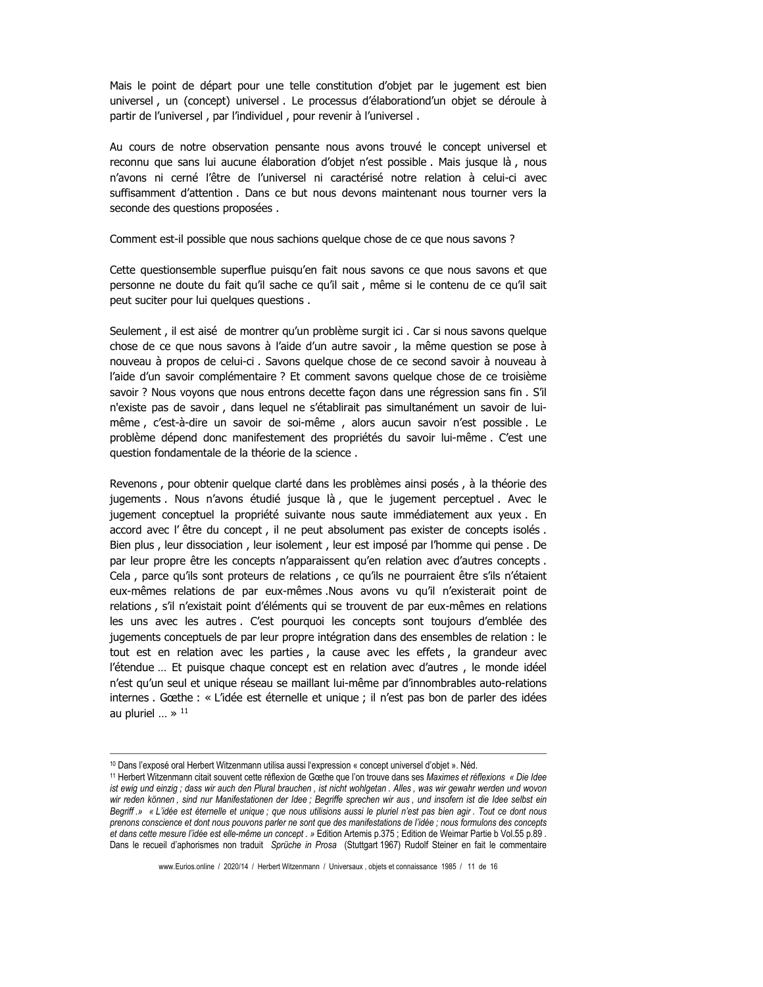Mais le point de départ pour une telle constitution d'obiet par le jugement est bien universel, un (concept) universel. Le processus d'élaborationd'un objet se déroule à partir de l'universel, par l'individuel, pour revenir à l'universel.

Au cours de notre observation pensante nous avons trouvé le concept universel et reconnu que sans lui aucune élaboration d'objet n'est possible. Mais jusque là, nous n'avons ni cerné l'être de l'universel ni caractérisé notre relation à celui-ci avec suffisamment d'attention, Dans ce but nous devons maintenant nous tourner vers la seconde des questions proposées.

Comment est-il possible que nous sachions quelque chose de ce que nous savons ?

Cette questionsemble superflue puisqu'en fait nous savons ce que nous savons et que personne ne doute du fait qu'il sache ce qu'il sait, même si le contenu de ce qu'il sait peut suciter pour lui quelques questions.

Seulement, il est aisé de montrer qu'un problème surgit ici. Car si nous savons quelque chose de ce que nous savons à l'aide d'un autre savoir, la même question se pose à nouveau à propos de celui-ci. Savons quelque chose de ce second savoir à nouveau à l'aide d'un savoir complémentaire ? Et comment savons quelque chose de ce troisième savoir ? Nous voyons que nous entrons decette façon dans une régression sans fin . S'il n'existe pas de savoir, dans lequel ne s'établirait pas simultanément un savoir de luimême, c'est-à-dire un savoir de soi-même, alors aucun savoir n'est possible. Le problème dépend donc manifestement des propriétés du savoir lui-même. C'est une question fondamentale de la théorie de la science.

Revenons, pour obtenir quelque clarté dans les problèmes ainsi posés, à la théorie des jugements. Nous n'avons étudié jusque là, que le jugement perceptuel. Avec le jugement conceptuel la propriété suivante nous saute immédiatement aux yeux. En accord avec l'être du concept, il ne peut absolument pas exister de concepts isolés. Bien plus, leur dissociation, leur isolement, leur est imposé par l'homme qui pense. De par leur propre être les concepts n'apparaissent qu'en relation avec d'autres concepts. Cela, parce qu'ils sont proteurs de relations, ce qu'ils ne pourraient être s'ils n'étaient eux-mêmes relations de par eux-mêmes Nous avons vu qu'il n'existerait point de relations, s'il n'existait point d'éléments qui se trouvent de par eux-mêmes en relations les uns avec les autres. C'est pourquoi les concepts sont toujours d'emblée des jugements conceptuels de par leur propre intégration dans des ensembles de relation : le tout est en relation avec les parties, la cause avec les effets, la grandeur avec l'étendue ... Et puisque chaque concept est en relation avec d'autres, le monde idéel n'est qu'un seul et unique réseau se maillant lui-même par d'innombrables auto-relations internes. Gœthe : « L'idée est éternelle et unique ; il n'est pas bon de parler des idées au pluriel ...  $\ast$  <sup>11</sup>

www.Eurios.online / 2020/14 / Herbert Witzenmann / Universaux, objets et connaissance 1985 / 11 de 16

<sup>&</sup>lt;sup>10</sup> Dans l'exposé oral Herbert Witzenmann utilisa aussi l'expression « concept universel d'objet ». Néd.

<sup>&</sup>lt;sup>11</sup> Herbert Witzenmann citait souvent cette réflexion de Gœthe que l'on trouve dans ses Maximes et réflexions « Die Idee ist ewig und einzig; dass wir auch den Plural brauchen, ist nicht wohlgetan. Alles, was wir gewahr werden und wovon wir reden können, sind nur Manifestationen der Idee ; Begriffe sprechen wir aus, und insofern ist die Idee selbst ein Begriff.» « L'idée est éternelle et unique ; que nous utilisions aussi le pluriel n'est pas bien agir. Tout ce dont nous prenons conscience et dont nous pouvons parler ne sont que des manifestations de l'idée ; nous formulons des concepts et dans cette mesure l'idée est elle-même un concept. » Edition Artemis p.375 ; Edition de Weimar Partie b Vol.55 p.89. Dans le recueil d'aphorismes non traduit Sprüche in Prosa (Stuttgart 1967) Rudolf Steiner en fait le commentaire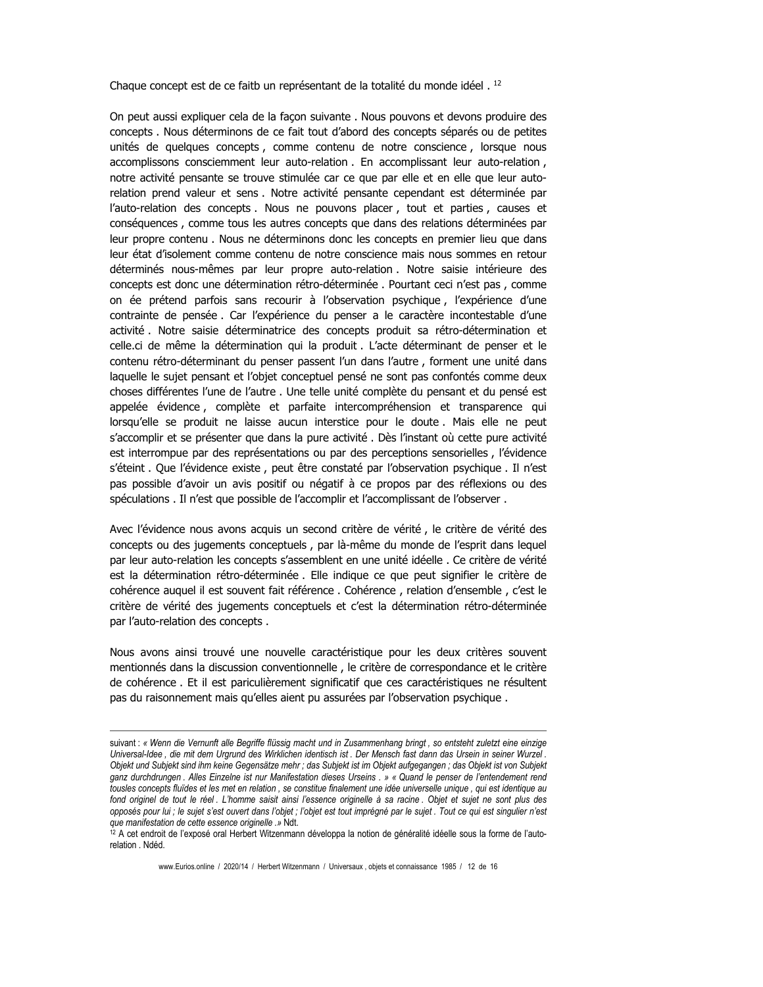Chaque concept est de ce faitb un représentant de la totalité du monde idéel.<sup>12</sup>

On peut aussi expliquer cela de la façon suivante . Nous pouvons et devons produire des concepts . Nous déterminons de ce fait tout d'abord des concepts séparés ou de petites unités de quelques concepts, comme contenu de notre conscience, lorsque nous accomplissons consciemment leur auto-relation . En accomplissant leur auto-relation, notre activité pensante se trouve stimulée car ce que par elle et en elle que leur autorelation prend valeur et sens . Notre activité pensante cependant est déterminée par l'auto-relation des concepts. Nous ne pouvons placer, tout et parties, causes et conséquences, comme tous les autres concepts que dans des relations déterminées par leur propre contenu. Nous ne déterminons donc les concepts en premier lieu que dans leur état d'isolement comme contenu de notre conscience mais nous sommes en retour déterminés nous-mêmes par leur propre auto-relation. Notre saisie intérieure des concepts est donc une détermination rétro-déterminée. Pourtant ceci n'est pas, comme on ée prétend parfois sans recourir à l'observation psychique, l'expérience d'une contrainte de pensée. Car l'expérience du penser a le caractère incontestable d'une activité. Notre saisie déterminatrice des concepts produit sa rétro-détermination et celle.ci de même la détermination qui la produit . L'acte déterminant de penser et le contenu rétro-déterminant du penser passent l'un dans l'autre, forment une unité dans laquelle le sujet pensant et l'objet conceptuel pensé ne sont pas confontés comme deux choses différentes l'une de l'autre . Une telle unité complète du pensant et du pensé est appelée évidence, complète et parfaite intercompréhension et transparence qui lorsqu'elle se produit ne laisse aucun interstice pour le doute. Mais elle ne peut s'accomplir et se présenter que dans la pure activité. Dès l'instant où cette pure activité est interrompue par des représentations ou par des perceptions sensorielles, l'évidence s'éteint. Que l'évidence existe, peut être constaté par l'observation psychique. Il n'est pas possible d'avoir un avis positif ou négatif à ce propos par des réflexions ou des spéculations . Il n'est que possible de l'accomplir et l'accomplissant de l'observer.

Avec l'évidence nous avons acquis un second critère de vérité, le critère de vérité des concepts ou des jugements conceptuels, par là-même du monde de l'esprit dans lequel par leur auto-relation les concepts s'assemblent en une unité idéelle. Ce critère de vérité est la détermination rétro-déterminée. Elle indique ce que peut signifier le critère de cohérence auquel il est souvent fait référence . Cohérence , relation d'ensemble , c'est le critère de vérité des jugements conceptuels et c'est la détermination rétro-déterminée par l'auto-relation des concepts.

Nous avons ainsi trouvé une nouvelle caractéristique pour les deux critères souvent mentionnés dans la discussion conventionnelle, le critère de correspondance et le critère de cohérence. Et il est pariculièrement significatif que ces caractéristiques ne résultent pas du raisonnement mais qu'elles aient pu assurées par l'observation psychique.

www.Eurios.online / 2020/14 / Herbert Witzenmann / Universaux, objets et connaissance 1985 / 12 de 16

suivant: « Wenn die Vernunft alle Begriffe flüssig macht und in Zusammenhang bringt, so entsteht zuletzt eine einzige Universal-Idee, die mit dem Urgrund des Wirklichen identisch ist. Der Mensch fast dann das Ursein in seiner Wurzel. Objekt und Subjekt sind ihm keine Gegensätze mehr; das Subjekt ist im Objekt aufgegangen; das Objekt ist von Subjekt ganz durchdrungen. Alles Einzelne ist nur Manifestation dieses Urseins. » « Quand le penser de l'entendement rend tousles concepts fluïdes et les met en relation, se constitue finalement une idée universelle unique, qui est identique au fond originel de tout le réel. L'homme saisit ainsi l'essence originelle à sa racine. Objet et sujet ne sont plus des opposés pour lui ; le sujet s'est ouvert dans l'objet ; l'objet est tout imprégné par le sujet . Tout ce qui est singulier n'est que manifestation de cette essence originelle .» Ndt.

<sup>&</sup>lt;sup>12</sup> A cet endroit de l'exposé oral Herbert Witzenmann développa la notion de généralité idéelle sous la forme de l'autorelation . Ndéd.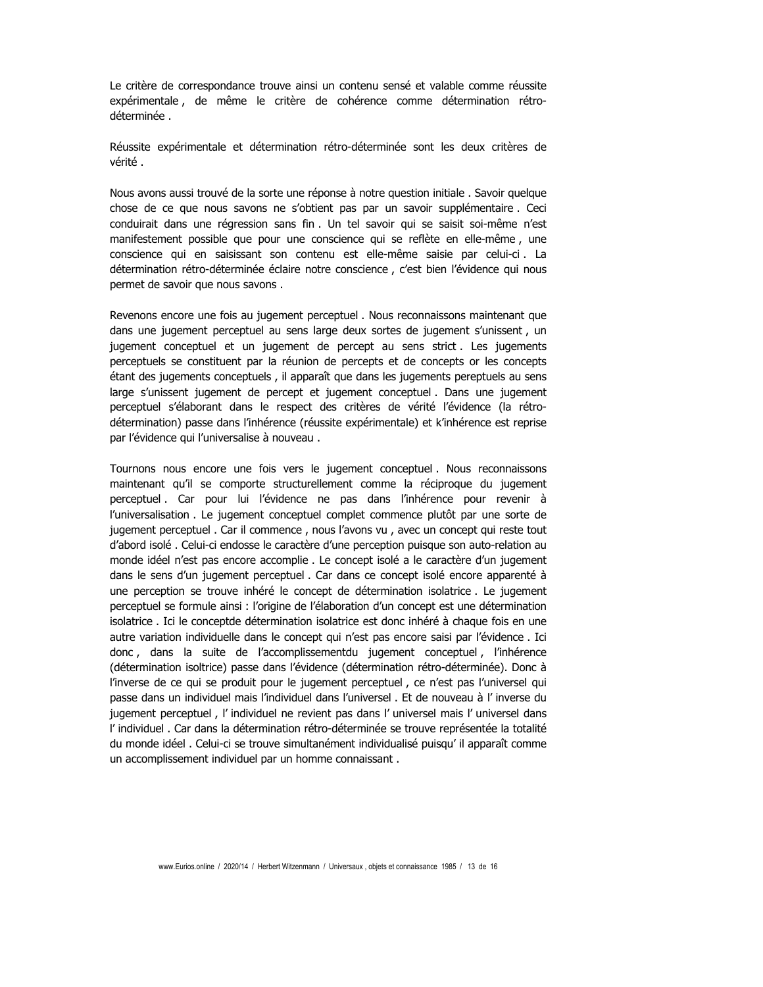Le critère de correspondance trouve ainsi un contenu sensé et valable comme réussite expérimentale, de même le critère de cohérence comme détermination rétrodéterminée.

Réussite expérimentale et détermination rétro-déterminée sont les deux critères de vérité.

Nous avons aussi trouvé de la sorte une réponse à notre question initiale. Savoir quelque chose de ce que nous savons ne s'obtient pas par un savoir supplémentaire. Ceci conduirait dans une régression sans fin. Un tel savoir qui se saisit soi-même n'est manifestement possible que pour une conscience qui se reflète en elle-même, une conscience qui en saisissant son contenu est elle-même saisie par celui-ci. La détermination rétro-déterminée éclaire notre conscience, c'est bien l'évidence qui nous permet de savoir que nous savons.

Revenons encore une fois au jugement perceptuel . Nous reconnaissons maintenant que dans une jugement perceptuel au sens large deux sortes de jugement s'unissent, un jugement conceptuel et un jugement de percept au sens strict. Les jugements perceptuels se constituent par la réunion de percepts et de concepts or les concepts étant des jugements conceptuels, il apparaît que dans les jugements pereptuels au sens large s'unissent jugement de percept et jugement conceptuel. Dans une jugement perceptuel s'élaborant dans le respect des critères de vérité l'évidence (la rétrodétermination) passe dans l'inhérence (réussite expérimentale) et k'inhérence est reprise par l'évidence qui l'universalise à nouveau.

Tournons nous encore une fois vers le jugement conceptuel. Nous reconnaissons maintenant qu'il se comporte structurellement comme la réciproque du jugement perceptuel. Car pour lui l'évidence ne pas dans l'inhérence pour revenir à l'universalisation . Le jugement conceptuel complet commence plutôt par une sorte de jugement perceptuel. Car il commence, nous l'avons vu, avec un concept qui reste tout d'abord isolé. Celui-ci endosse le caractère d'une perception puisque son auto-relation au monde idéel n'est pas encore accomplie . Le concept isolé a le caractère d'un jugement dans le sens d'un jugement perceptuel. Car dans ce concept isolé encore apparenté à une perception se trouve inhéré le concept de détermination isolatrice. Le jugement perceptuel se formule ainsi : l'origine de l'élaboration d'un concept est une détermination isolatrice. Ici le conceptde détermination isolatrice est donc inhéré à chaque fois en une autre variation individuelle dans le concept qui n'est pas encore saisi par l'évidence. Ici donc, dans la suite de l'accomplissementdu jugement conceptuel, l'inhérence (détermination isoltrice) passe dans l'évidence (détermination rétro-déterminée). Donc à l'inverse de ce qui se produit pour le jugement perceptuel, ce n'est pas l'universel qui passe dans un individuel mais l'individuel dans l'universel . Et de nouveau à l'inverse du jugement perceptuel, l'individuel ne revient pas dans l'universel mais l'universel dans l'individuel. Car dans la détermination rétro-déterminée se trouve représentée la totalité du monde idéel, Celui-ci se trouve simultanément individualisé puisqu'il apparaît comme un accomplissement individuel par un homme connaissant.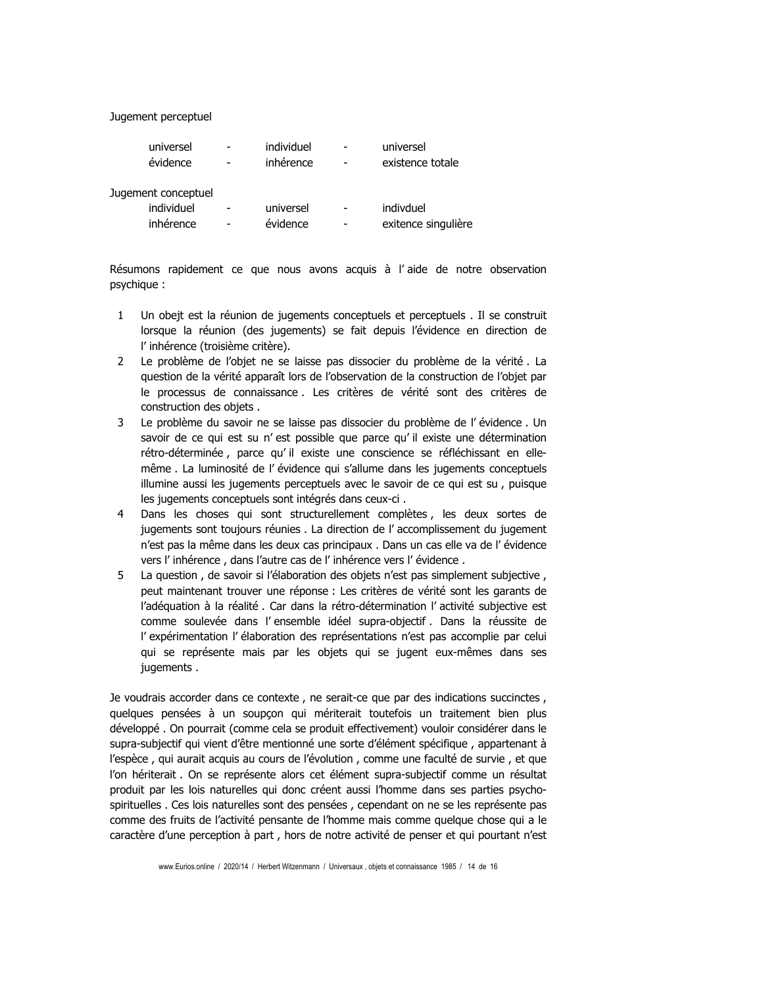Jugement perceptuel

| universel<br>évidence                          | individuel<br>inhérence |   | universel<br>existence totale    |
|------------------------------------------------|-------------------------|---|----------------------------------|
| Jugement conceptuel<br>individuel<br>inhérence | universel<br>évidence   | - | indivduel<br>exitence singulière |

Résumons rapidement ce que nous avons acquis à l'aide de notre observation psychique:

- Un obejt est la réunion de jugements conceptuels et perceptuels . Il se construit  $\mathbf{1}$ lorsque la réunion (des jugements) se fait depuis l'évidence en direction de l'inhérence (troisième critère).
- $2^{\circ}$ Le problème de l'objet ne se laisse pas dissocier du problème de la vérité. La question de la vérité apparaît lors de l'observation de la construction de l'objet par le processus de connaissance. Les critères de vérité sont des critères de construction des objets.
- $3<sup>7</sup>$ Le problème du savoir ne se laisse pas dissocier du problème de l'évidence. Un savoir de ce qui est su n'est possible que parce qu'il existe une détermination rétro-déterminée, parce qu'il existe une conscience se réfléchissant en ellemême . La luminosité de l'évidence qui s'allume dans les jugements conceptuels illumine aussi les jugements perceptuels avec le savoir de ce qui est su, puisque les jugements conceptuels sont intégrés dans ceux-ci.
- $4<sup>1</sup>$ Dans les choses qui sont structurellement complètes, les deux sortes de jugements sont toujours réunies . La direction de l'accomplissement du jugement n'est pas la même dans les deux cas principaux . Dans un cas elle va de l'évidence vers l'inhérence, dans l'autre cas de l'inhérence vers l'évidence.
- $5<sup>7</sup>$ La question, de savoir si l'élaboration des objets n'est pas simplement subjective, peut maintenant trouver une réponse : Les critères de vérité sont les garants de l'adéquation à la réalité. Car dans la rétro-détermination l'activité subjective est comme soulevée dans l'ensemble idéel supra-objectif. Dans la réussite de l'expérimentation l'élaboration des représentations n'est pas accomplie par celui qui se représente mais par les objets qui se jugent eux-mêmes dans ses jugements.

Je voudrais accorder dans ce contexte, ne serait-ce que par des indications succinctes, quelques pensées à un soupçon qui mériterait toutefois un traitement bien plus développé. On pourrait (comme cela se produit effectivement) vouloir considérer dans le supra-subjectif qui vient d'être mentionné une sorte d'élément spécifique, appartenant à l'espèce, qui aurait acquis au cours de l'évolution, comme une faculté de survie, et que l'on hériterait. On se représente alors cet élément supra-subjectif comme un résultat produit par les lois naturelles qui donc créent aussi l'homme dans ses parties psychospirituelles. Ces lois naturelles sont des pensées, cependant on ne se les représente pas comme des fruits de l'activité pensante de l'homme mais comme quelque chose qui a le caractère d'une perception à part, hors de notre activité de penser et qui pourtant n'est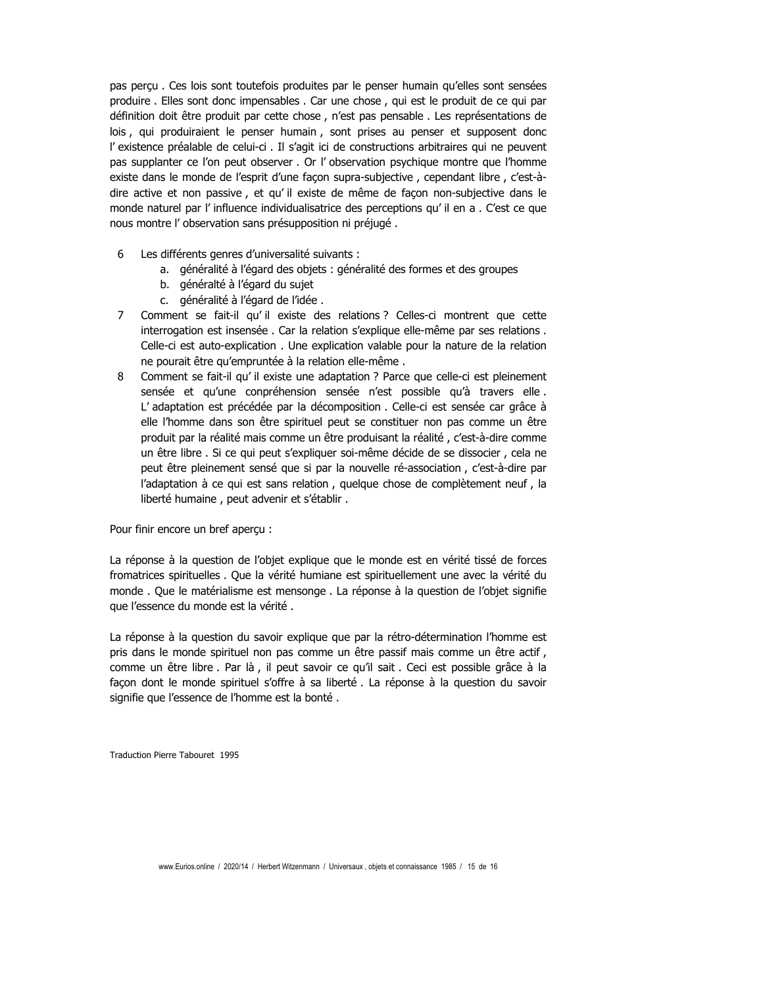pas perçu. Ces lois sont toutefois produites par le penser humain qu'elles sont sensées produire . Elles sont donc impensables . Car une chose, qui est le produit de ce qui par définition doit être produit par cette chose, n'est pas pensable. Les représentations de lois, qui produiraient le penser humain, sont prises au penser et supposent donc l'existence préalable de celui-ci. Il s'agit ici de constructions arbitraires qui ne peuvent pas supplanter ce l'on peut observer. Or l' observation psychique montre que l'homme existe dans le monde de l'esprit d'une façon supra-subjective, cependant libre, c'est-àdire active et non passive, et qu'il existe de même de façon non-subjective dans le monde naturel par l'influence individualisatrice des perceptions qu'il en a . C'est ce que nous montre l'observation sans présupposition ni préjugé.

- 6 Les différents genres d'universalité suivants :
	- a. généralité à l'égard des objets : généralité des formes et des groupes
	- b. généralté à l'égard du sujet
	- c. généralité à l'égard de l'idée.
- Comment se fait-il qu'il existe des relations ? Celles-ci montrent que cette  $7<sup>7</sup>$ interrogation est insensée. Car la relation s'explique elle-même par ses relations. Celle-ci est auto-explication. Une explication valable pour la nature de la relation ne pourait être qu'empruntée à la relation elle-même.
- 8 Comment se fait-il qu'il existe une adaptation ? Parce que celle-ci est pleinement sensée et qu'une conpréhension sensée n'est possible qu'à travers elle. L'adaptation est précédée par la décomposition . Celle-ci est sensée car grâce à elle l'homme dans son être spirituel peut se constituer non pas comme un être produit par la réalité mais comme un être produisant la réalité, c'est-à-dire comme un être libre . Si ce qui peut s'expliquer soi-même décide de se dissocier, cela ne peut être pleinement sensé que si par la nouvelle ré-association, c'est-à-dire par l'adaptation à ce qui est sans relation, quelque chose de complètement neuf, la liberté humaine, peut advenir et s'établir.

Pour finir encore un bref aperçu :

La réponse à la question de l'objet explique que le monde est en vérité tissé de forces fromatrices spirituelles . Que la vérité humiane est spirituellement une avec la vérité du monde. Que le matérialisme est mensonge. La réponse à la question de l'objet signifie que l'essence du monde est la vérité.

La réponse à la question du savoir explique que par la rétro-détermination l'homme est pris dans le monde spirituel non pas comme un être passif mais comme un être actif, comme un être libre, Par là, il peut savoir ce qu'il sait, Ceci est possible grâce à la façon dont le monde spirituel s'offre à sa liberté. La réponse à la question du savoir signifie que l'essence de l'homme est la bonté.

Traduction Pierre Tabouret 1995